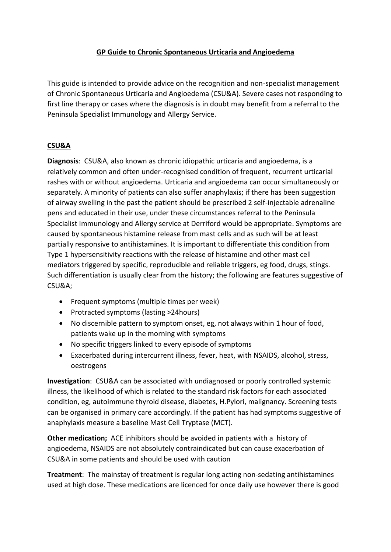## **GP Guide to Chronic Spontaneous Urticaria and Angioedema**

This guide is intended to provide advice on the recognition and non-specialist management of Chronic Spontaneous Urticaria and Angioedema (CSU&A). Severe cases not responding to first line therapy or cases where the diagnosis is in doubt may benefit from a referral to the Peninsula Specialist Immunology and Allergy Service.

## **CSU&A**

**Diagnosis**: CSU&A, also known as chronic idiopathic urticaria and angioedema, is a relatively common and often under-recognised condition of frequent, recurrent urticarial rashes with or without angioedema. Urticaria and angioedema can occur simultaneously or separately. A minority of patients can also suffer anaphylaxis; if there has been suggestion of airway swelling in the past the patient should be prescribed 2 self-injectable adrenaline pens and educated in their use, under these circumstances referral to the Peninsula Specialist Immunology and Allergy service at Derriford would be appropriate. Symptoms are caused by spontaneous histamine release from mast cells and as such will be at least partially responsive to antihistamines. It is important to differentiate this condition from Type 1 hypersensitivity reactions with the release of histamine and other mast cell mediators triggered by specific, reproducible and reliable triggers, eg food, drugs, stings. Such differentiation is usually clear from the history; the following are features suggestive of CSU&A;

- Frequent symptoms (multiple times per week)
- Protracted symptoms (lasting >24 hours)
- No discernible pattern to symptom onset, eg, not always within 1 hour of food, patients wake up in the morning with symptoms
- No specific triggers linked to every episode of symptoms
- Exacerbated during intercurrent illness, fever, heat, with NSAIDS, alcohol, stress, oestrogens

**Investigation**: CSU&A can be associated with undiagnosed or poorly controlled systemic illness, the likelihood of which is related to the standard risk factors for each associated condition, eg, autoimmune thyroid disease, diabetes, H.Pylori, malignancy. Screening tests can be organised in primary care accordingly. If the patient has had symptoms suggestive of anaphylaxis measure a baseline Mast Cell Tryptase (MCT).

**Other medication;** ACE inhibitors should be avoided in patients with a history of angioedema, NSAIDS are not absolutely contraindicated but can cause exacerbation of CSU&A in some patients and should be used with caution

**Treatment**: The mainstay of treatment is regular long acting non-sedating antihistamines used at high dose. These medications are licenced for once daily use however there is good